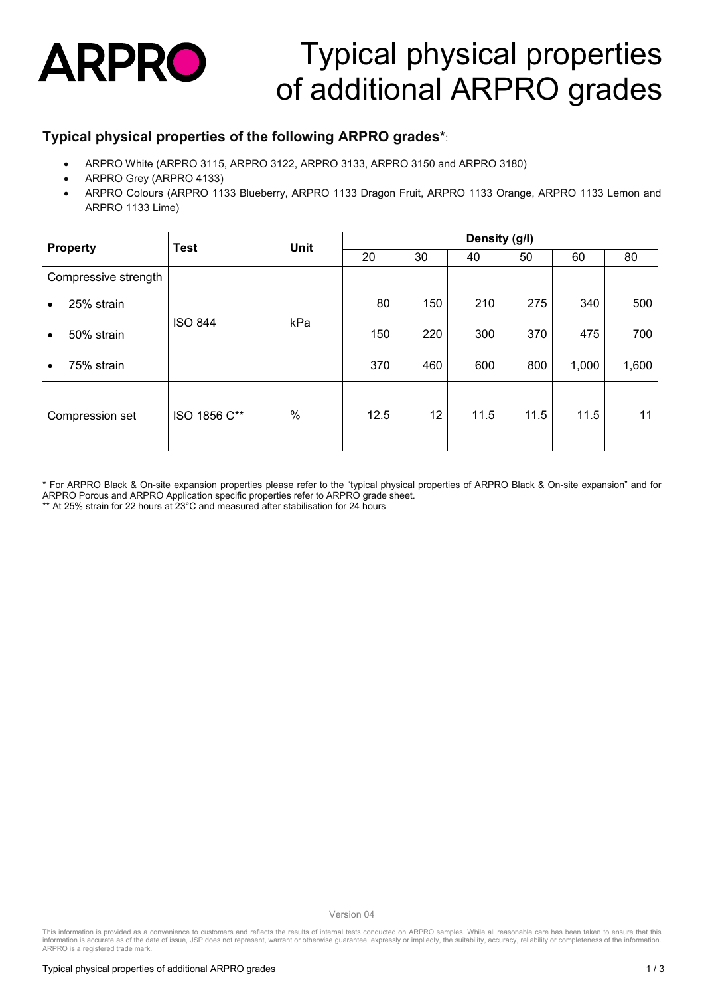

# Typical physical properties of additional ARPRO grades

### **Typical physical properties of the following ARPRO grades\***:

- ARPRO White (ARPRO 3115, ARPRO 3122, ARPRO 3133, ARPRO 3150 and ARPRO 3180)
- ARPRO Grey (ARPRO 4133)
- ARPRO Colours (ARPRO 1133 Blueberry, ARPRO 1133 Dragon Fruit, ARPRO 1133 Orange, ARPRO 1133 Lemon and ARPRO 1133 Lime)

| <b>Property</b>         | <b>Test</b>    | <b>Unit</b>   | Density (g/l) |     |      |      |       |       |
|-------------------------|----------------|---------------|---------------|-----|------|------|-------|-------|
|                         |                |               | 20            | 30  | 40   | 50   | 60    | 80    |
| Compressive strength    | <b>ISO 844</b> | kPa           |               |     |      |      |       |       |
| 25% strain<br>$\bullet$ |                |               | 80            | 150 | 210  | 275  | 340   | 500   |
| 50% strain<br>$\bullet$ |                |               | 150           | 220 | 300  | 370  | 475   | 700   |
| 75% strain<br>$\bullet$ |                |               | 370           | 460 | 600  | 800  | 1,000 | 1,600 |
| Compression set         | ISO 1856 C**   | $\frac{0}{0}$ | 12.5          | 12  | 11.5 | 11.5 | 11.5  | 11    |

\* For ARPRO Black & On-site expansion properties please refer to the "typical physical properties of ARPRO Black & On-site expansion" and for ARPRO Porous and ARPRO Application specific properties refer to ARPRO grade sheet.

\*\* At 25% strain for 22 hours at 23°C and measured after stabilisation for 24 hours

Version 04

This information is provided as a convenience to customers and reflects the results of internal tests conducted on ARPRO samples. While all reasonable care has been taken to ensure that this<br>information is accurate as of t ARPRO is a registered trade mark.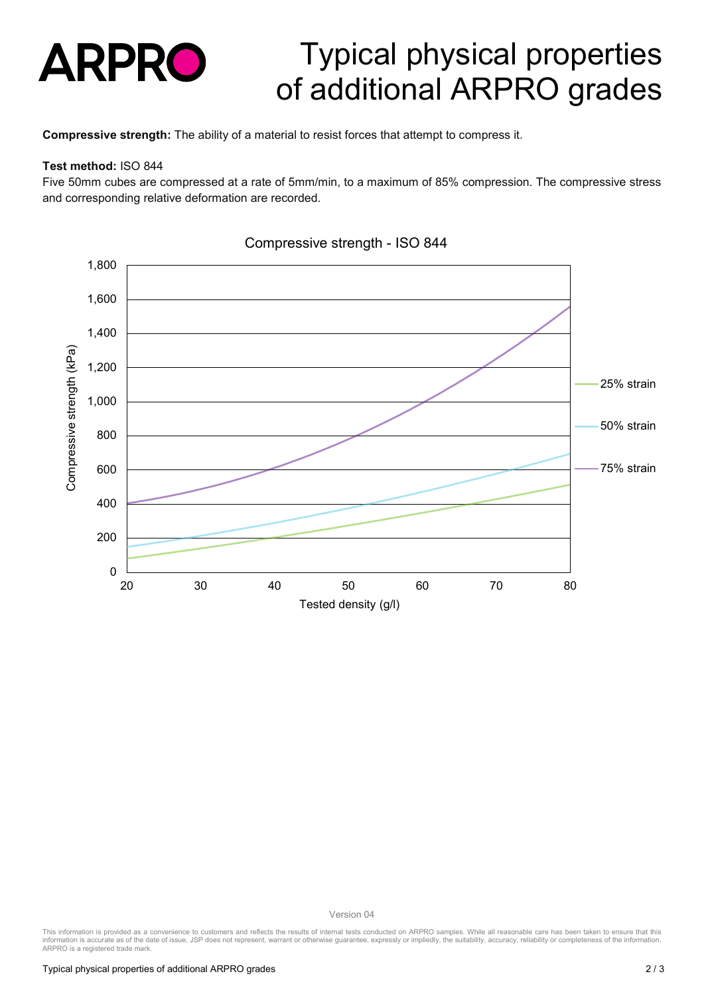

### Typical physical properties of additional ARPRO grades

**Compressive strength:** The ability of a material to resist forces that attempt to compress it.

#### **Test method:** ISO 844

Five 50mm cubes are compressed at a rate of 5mm/min, to a maximum of 85% compression. The compressive stress and corresponding relative deformation are recorded.



#### Compressive strength - ISO 844

Version 04

This information is provided as a convenience to customers and reflects the results of internal tests conducted on ARPRO samples. While all reasonable care has been taken to ensure that this<br>information is accurate as of t ARPRO is a registered trade mark.